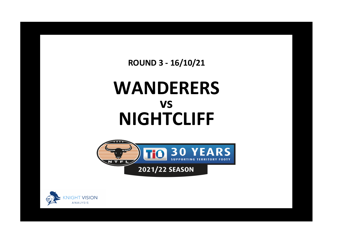**ROUND 3 - 16/10/21**

## **WANDERERS NIGHTCLIFF vs**



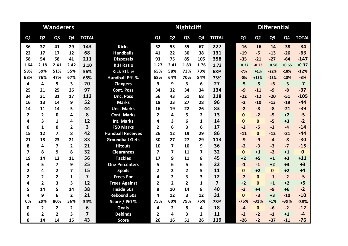|                         |                | <b>Wanderers</b> |                |                         |                          | <b>Nightcliff</b> |                |                |                |                         |  |              | <b>Differential</b> |                |                |              |  |  |  |
|-------------------------|----------------|------------------|----------------|-------------------------|--------------------------|-------------------|----------------|----------------|----------------|-------------------------|--|--------------|---------------------|----------------|----------------|--------------|--|--|--|
| Q1                      | Q <sub>2</sub> | Q <sub>3</sub>   | Q4             | <b>TOTAL</b>            |                          | Q1                | Q <sub>2</sub> | Q <sub>3</sub> | Q <sub>4</sub> | <b>TOTAL</b>            |  | Q1           | Q <sub>2</sub>      | Q <sub>3</sub> | Q <sub>4</sub> | <b>TOTAL</b> |  |  |  |
| 36                      | 37             | 41               | 29             | 143                     | <b>Kicks</b>             | 52                | 53             | 55             | 67             | 227                     |  | $-16$        | $-16$               | $-14$          | $-38$          | $-84$        |  |  |  |
| 22                      | 17             | 17               | 12             | 68                      | <b>Handballs</b>         | 41                | 22             | 30             | 38             | 131                     |  | $-19$        | $-5$                | $-13$          | $-26$          | $-63$        |  |  |  |
| 58                      | 54             | 58               | 41             | 211                     | <b>Disposals</b>         | 93                | 75             | 85             | 105            | 358                     |  | $-35$        | $-21$               | $-27$          | $-64$          | $-147$       |  |  |  |
| 1.64                    | 2.18           | 2.41             | 2.42           | 2.10                    | <b>K:H Ratio</b>         | 1.27              | 2.41           | 1.83           | 1.76           | 1.73                    |  | $+0.37$      | $-0.23$             | $+0.58$        | $+0.65$        | $+0.37$      |  |  |  |
| 58%                     | 59%            | 51%              | 55%            | 56%                     | Kick Eff. %              | 65%               | 58%            | 73%            | 73%            | 68%                     |  | $-7%$        | $+1%$               | $-22%$         | $-18%$         | $-12%$       |  |  |  |
| 68%                     | 76%            | 47%              | 67%            | 65%                     | <b>Handball Eff. %</b>   | 68%               | 64%            | 70%            | 84%            | 73%                     |  | $-0%$        | $+13%$              | $-23%$         | $-18%$         | $-8%$        |  |  |  |
| 4                       | 4              | 9                | 3              | 20                      | <b>Clangers</b>          | 9                 | 9              | 3              | 6              | 27                      |  | $-5$         | $-5$                | $+6$           | $-3$           | $-7$         |  |  |  |
| 25                      | 21             | 25               | 26             | 97                      | <b>Cont. Poss</b>        | 34                | 32             | 34             | 34             | 134                     |  | $-9$         | $-11$               | $-9$           | $-8$           | $-37$        |  |  |  |
| 34                      | 31             | 31               | 17             | 113                     | <b>Unc. Poss</b>         | 56                | 43             | 51             | 68             | 218                     |  | $-22$        | $-12$               | $-20$          | $-51$          | $-105$       |  |  |  |
| 16                      | 13             | 14               | 9              | 52                      | <b>Marks</b>             | 18                | 23             | 27             | 28             | 96                      |  | $-2$         | $-10$               | $-13$          | $-19$          | $-44$        |  |  |  |
| 14                      | 11             | 14               | 5              | 44                      | <b>Unc. Marks</b>        | 16                | 19             | 22             | 26             | 83                      |  | $-2$         | $-8$                | $-8$           | $-21$          | $-39$        |  |  |  |
| $\overline{2}$          | $\overline{2}$ | 0                | 4              | 8                       | <b>Cont. Marks</b>       | $\overline{2}$    | 4              | 5              | 2              | 13                      |  | $\mathbf{0}$ | $-2$                | $-5$           | $+2$           | $-5$         |  |  |  |
| 4                       | 3              | 1                | 4              | 12                      | Int. Marks               | 4                 | 3              | 6              | 1              | 14                      |  | $\bf{0}$     | $\mathbf{0}$        | $-5$           | $+3$           | $-2$         |  |  |  |
| 0                       | $\mathbf{1}$   | 0                | $\overline{2}$ | 3                       | F50 Marks                | $\overline{2}$    | 6              | 3              | 6              | 17                      |  | $-2$         | $-5$                | $-3$           | $-4$           | $-14$        |  |  |  |
| 15                      | 12             | 7                | 8              | 42                      | <b>Handball Receives</b> | 26                | 12             | 19             | 29             | 86                      |  | $-11$        | $\Omega$            | $-12$          | $-21$          | $-44$        |  |  |  |
| 21                      | 18             | 23               | 21             | 83                      | <b>Groundball Gets</b>   | 30                | 27             | 27             | 29             | 113                     |  | $-9$         | $-9$                | $-4$           | $-8$           | $-30$        |  |  |  |
| 8                       | 4              | $\overline{7}$   | $\overline{2}$ | 21                      | <b>Hitouts</b>           | 10                | 7              | 10             | 9              | 36                      |  | $-2$         | $-3$                | $-3$           | $-7$           | $-15$        |  |  |  |
| $\overline{\mathbf{z}}$ | 8              | 9                | 8              | 32                      | <b>Clearances</b>        | 7                 | 7              | 11             | 7              | 32                      |  | $\mathbf{0}$ | $+1$                | $-2$           | $+1$           | $\mathbf{0}$ |  |  |  |
| 19                      | 14             | 12               | 11             | 56                      | <b>Tackles</b>           | 17                | 9              | 11             | 8              | 45                      |  | $+2$         | $+5$                | $+1$           | $+3$           | $+11$        |  |  |  |
| 4                       | 5              | 7                | 9              | 25                      | <b>One Percenters</b>    | 5                 | 6              | 5              | 6              | 22                      |  | $-1$         | $-1$                | $+2$           | $+3$           | $+3$         |  |  |  |
| $\overline{2}$          | 4              | $\mathbf{2}$     | 7              | 15                      | <b>Spoils</b>            | $\overline{2}$    | $\overline{2}$ | $\overline{2}$ | 5              | 11                      |  | $\mathbf{0}$ | $+2$                | $\Omega$       | $+2$           | $+4$         |  |  |  |
| $\overline{2}$          | $\overline{2}$ | $\overline{2}$   | 1              | $\overline{\mathbf{z}}$ | <b>Frees For</b>         | 4                 | $\overline{2}$ | 3              | 3              | 12                      |  | $-2$         | $\mathbf{0}$        | $-1$           | $-2$           | $-5$         |  |  |  |
| 4                       | $\overline{2}$ | 3                | 3              | 12                      | <b>Frees Against</b>     | $\overline{2}$    | $\overline{2}$ | $\overline{2}$ | $\mathbf{1}$   | $\overline{\mathbf{z}}$ |  | $+2$         | $\Omega$            | $+1$           | $+2$           | $+5$         |  |  |  |
| 5                       | 14             | 5                | 14             | 38                      | <b>Inside 50s</b>        | 8                 | 10             | 14             | 8              | 40                      |  | $-3$         | +4                  | $-9$           | $+6$           | $-2$         |  |  |  |
| 4                       | 9              | 6                | $\overline{2}$ | 21                      | <b>Rebound 50s</b>       | 4                 | 12             | 3              | 12             | 31                      |  | $\mathbf{0}$ | $-3$                | $+3$           | $-10$          | $-10$        |  |  |  |
| 0%                      | 29%            | 80%              | 36%            | 34%                     | Score / I50 %            | 75%               | 60%            | 79%            | 75%            | 73%                     |  | $-75%$       | $-31%$              | $+1%$          | $-39%$         | $-38%$       |  |  |  |
| 0                       | $\overline{2}$ | $\overline{2}$   | $\overline{2}$ | 6                       | <b>Goals</b>             | 4                 | $\overline{2}$ | 8              | 4              | 18                      |  | $-4$         | $\mathbf{0}$        | $-6$           | $-2$           | $-12$        |  |  |  |
| 0                       | $\overline{2}$ | 2                | 3              | $\overline{7}$          | <b>Behinds</b>           | 2                 | 4              | 3              | 2              | 11                      |  | $-2$         | $-2$                | $-1$           | $+1$           | $-4$         |  |  |  |
| $\mathbf 0$             | 14             | 14               | 15             | 43                      | <b>Score</b>             | 26                | 16             | 51             | 26             | 119                     |  | $-26$        | $-2$                | $-37$          | $-11$          | $-76$        |  |  |  |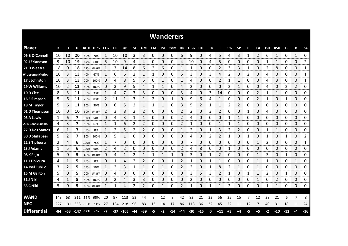|                        |     |     |                   |      |             |                |           |             |       |                |      |             | <b>Wanderers</b>         |     |       |                |    |                |      |                |           |              |            |               |           |                           |               |
|------------------------|-----|-----|-------------------|------|-------------|----------------|-----------|-------------|-------|----------------|------|-------------|--------------------------|-----|-------|----------------|----|----------------|------|----------------|-----------|--------------|------------|---------------|-----------|---------------------------|---------------|
| <b>Player</b>          | К   | н   | D                 |      | KE% HE% CLG |                | <b>CP</b> | UP          | M     | UM             |      |             | CM IM F50M HR GBG HO CLR |     |       |                |    | т              | 1%   | <b>SP</b>      | <b>FF</b> | FA           | <b>I50</b> | <b>R50</b>    | G         | В                         | <b>SA</b>     |
| 06 B O'Connell         | 10  | 10  | 20                | 50%  | 70%         |                | 10        | 10          | 3     | 3              | 0    | 0           | 0                        | 6   | 9     | 0              | 4  | 5              | 4    | 3              | 1         | 2            | 6          | 1             | 0         | 1                         | 0             |
| 02 J Erlandson         | 9   | 10  | 19                | 67%  | 60%         | 5              | 10        | 9           | 4     | 4              | 0    | 0           | 0                        | 4   | 10    | 0              | 4  | 5              | 0    | 0              | 0         | 0            |            | 1             | 0         | 0                         | 2             |
| 21 D Weetra            | 18  | 0   | 18                | 72%  | #####       |                | 3         | 14          | 8     | 6              | 2    | 6           | 0                        |     |       | 0              | 0  | 2              | 3    | 3              |           | 0            | 2          | 8             | 0         | 0                         | 1             |
| 04 Jerome Motlop       | 10  | 3   | 13                | 40%  | 67%         |                | 6         | 6           | 2     | 1              | 1    | 0           | 0                        | 5   | 3     | 0              | 3  | 4              | 2    | 0              | 2         | 0            | 4          | 0             | 0         | 0                         | 1             |
| 17 L Johnston          | 10  | 3   | 13                | 70%  | 100%        | 0              | 4         | 8           | 5     | 5              | 0    | 1           | 0                        | 1   | 4     | $\Omega$       | 0  | $\overline{2}$ |      | 1              | 0         | 0            | 4          | 3             | 0         | 0                         | 1             |
| 29 W Williams          | 10  | 2   | 12                | 80%  | 100%        | 0              | 3         | 9           | 5     | 4              | 1    | 1           | 0                        | 4   | 2     | 0              | 0  | 0              | 2    | 1              | 0         | 0            | 4          | 0             | 2         | $\overline{2}$            | 0             |
| 10 D Clee              | 8   | 3   | 11                | 38%  | 33%         |                | 4         |             | 3     | 3              | 0    | 0           | 0                        | 3   | 4     | 0              | 3  | 14             | 0    | 0              | 0         | 2            |            | 1             | 0         | 0                         | 0             |
| 16 E Simpson           | 5   | 6   | 11                | 20%  | 83%         | $\overline{2}$ | 11        | 1           | 3     | 1              | 2    | 0           | 1                        | 0   | 9     | 6              | 4  | 1              | 0    | 0              | 0         | 2            |            | 0             | 1         | 0                         | 0             |
| 18 M Taylor            | 5   | 6   | 11                | 80%  | 50%         | 0              | 6         | 5           | 2     | 1              | 1    | 1           | 0                        | 3   | 5     | $\overline{2}$ | 1  | $\mathbf{1}$   | 2    | $\overline{2}$ | 0         | 0            | 0          | 3             | 0         | 0                         | 0             |
| 01 D Thompson          | 10  | 0   | 10                | 50%  | #####       | 2              | 3         | 8           | 2     | 2              | 0    | 0           | 0                        | 2   | 2     | 0              | 3  | 2              | 0    | 0              | 1         | 0            | 4          | 0             | 0         | 0                         | 0             |
| 03 A Lewis             | 1   | 6   | 7                 | 100% | 50%         | 0              | 4         | 3           | 1     | 1              | 0    | 0           | 0                        | 2   | 4     | 0              | 0  | 0              |      | 1              | 0         | 0            | 0          | 0             | 0         | 0                         | 0             |
| 20 N Jones-Cubillo     | 4   | 3   | 7                 | 50%  | 67%         | 1              | 1         | 6           | 2     | 2              | 0    | 0           | 0                        | 2   |       | 0              | 0  | 1              |      | 1              | 0         | 0            | 0          | 0             | 0         | 0                         | 0             |
| 27 D Dos Santos        | 6   | 1   | 7                 | 33%  | 0%          | 1              | 2         | 5           | 2     | $\overline{2}$ | 0    | $\Omega$    | 0                        | 1   | 2     | $\Omega$       |    | 3              | 2    | $\overline{2}$ | 0         | 0            | 1          | 1             | 0         | 0                         | 0             |
| <b>30 D Shillabeer</b> | 5   |     | 7                 | 80%  | 100%        | 0              | 5         |             | 0     | 0              | 0    | 0           | 0                        | 0   | Δ     | 0              |    | 2              | 1    | 0              | -1        | 0            |            | 0             | 1         | 0                         | 2<br>mana     |
| 22 S Tipiloura         | 2   | 4   | 6                 |      | 100% 75%    | 1              |           | 0           | 0     | 0              | 0    | 0           | 0                        | 0   |       | 0              | ი  | 0              | 0    | 0              | 0         |              | 2          | 0<br>anan mas | 0         | 0<br><b>The Company's</b> | 1<br>www.com  |
| 23 J Adams             | 1   | 5   | 6                 | 100% | 60%         | 2              |           |             | 0     | 0              | 0    | ი           | 0                        | 2   |       | 8              | 0  | O              |      | 0              | O         | O<br>annon a | O          | 0             | 0<br>mmmm | 0<br>manan a              | 0<br>mmmm     |
| 08 K Fejo              | 5   | 0   | 5                 | 40%  | #####       | 0              | 4         | 1           | 2     | 1              | 1    | 1           | 1                        | 0   | 3     | 0              |    | 2              | 0    | 0              | 0         |              | 3          | 0             | 1         | 0                         | 0<br>ana araw |
| 11 J Tipiloura         | 4   |     | 5                 | 25%  | 0%          | 0              |           |             |       | 2              | 0    | 0           |                          | 2   |       | 0              |    |                | Ω    | 0              | C         |              |            | 0             | 0         | 1                         | 0             |
| 14 Joel Cubillo        | 3   | 2   | 5                 | 33%  | 50%         | 1              | 2         | 3           | 1     | 1              | 0    | 1           | 0                        | 2   | 2     | 0              |    | 8              | 2    | 1              | 0         | 1            | 0          | 0             | 0         | 0                         | 0             |
| 15 M Garton            | 5   | 0   | 5                 |      | 20% #####   | 0              | 4         | 0           | 0     | 0              | 0    | 0           | 0                        | 0   | 3     | 5              | 3  | 2              | 1    | 0              |           |              | 2          | 0             | 1         | 0                         | 0             |
| 31 J Niki              | 4   | 1   | 5                 | 50%  | 100%        | 0              | 2         | 4           | 3     | 3              | 0    | 0           | 0                        | 0   | 2     | 0              | 0  | 0              | 0    | 0              | 0         | 1            | 0          | 2             | 0         | 0                         | 0             |
| 33 C Niki              | 5   | 0   | 5                 |      | 60% #####   | 1              | 1         | 4           | 2     | 2              | 0    | $\mathbf 1$ | 0                        | 2   | 1     | 0              | 1  | 1              | 2    | 0              | 0         | 0            | 1          | 1             | 0         | 0                         | 0             |
|                        |     |     |                   |      |             |                |           |             |       |                |      |             |                          |     |       |                |    |                |      |                |           |              |            |               |           |                           |               |
| <b>WAND</b>            | 143 | 68  | 211               | 56%  | 65%         | 20             | 97        | 113         | 52    | 44             | 8    | 12          | 3                        | 42  | 83    | 21             | 32 | 56             | 25   | 15             | 7         | 12           | 38         | 21            | 6         | 7                         | 8             |
| <b>NFC</b>             | 227 | 131 |                   |      | 358 68% 73% | -27            | 134       | 218         | 96    | 83             | 13   | 14          | 17                       | 86  | 113   | 36             | 32 | 45             | 22   | 11             | 12        | 7            | 40         | 31            | 18        | 11                        | 24            |
| <b>Differential</b>    | -84 |     | $-63 - 147 - 12%$ |      | -8%         | -7             |           | $-37 - 105$ | $-44$ | $-39$          | $-5$ | $-2$        | $-14$                    | -44 | $-30$ | $-15$          | 0  | $+11$          | $+3$ | +4             | -5        | $+5$         | -2         | $-10$         | $-12$     | -4                        | $-16$         |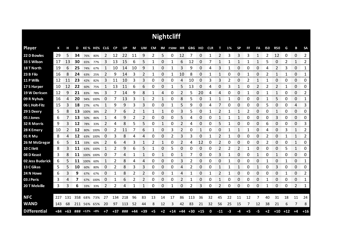|                     |       |       |     |                            |             |      |           |     |       |       |      |             | <b>Nightcliff</b>        |                |       |       |    |       |      |              |           |    |            |                |       |              |                |
|---------------------|-------|-------|-----|----------------------------|-------------|------|-----------|-----|-------|-------|------|-------------|--------------------------|----------------|-------|-------|----|-------|------|--------------|-----------|----|------------|----------------|-------|--------------|----------------|
| <b>Player</b>       | К     | н     | D   |                            | KE% HE% CLG |      | <b>CP</b> | UP  | M     | UM    |      |             | CM IM F50M HR GBG HO CLR |                |       |       |    | т     | 1%   | <b>SP</b>    | <b>FF</b> | FA | <b>I50</b> | <b>R50</b>     | G     | В            | <b>SA</b>      |
| 22 D Bowles         | 29    | 5     | 34  | 76%                        | 80%         | 2    | 12        | 22  | 11    | 9     | 2    | 5           | 0                        | 12             |       | 0     |    | 2     | 3    | 3            | 3         | 1  | 2          | 12             | 0     | 0            | $\overline{2}$ |
| 33 S Wilson         | 17    | 13    | 30  | 65%                        | 77%         | 3    | 13        | 15  | 6     | 5     | 1    | 0           |                          | 6              | 12    | 0     |    | 1     | 1    | 1            |           | 1  | 5          | 0              | 2     | 1            | 2              |
| 18 T North          | 19    | 6     | 25  | 74%                        | 67%         |      | 10        | 14  | 10    | 9     |      | 0           |                          | 3              | 9     | 0     | 4  | 3     |      | 0            | 0         | 0  | 4          | 2              | 3     | 0            | 1              |
| 23 B Filo           | 16    | 8     | 24  | 63%                        | 25%         | 2    | 9         | 14  | 3     | 2     | 1    | 0           | 1                        | 10             | 8     | 0     |    | 1     | 0    | 0            |           | 0  | 2          | 1              | 1     | 0            | 1              |
| 11 P Wills          | 12    | 11    | 23  | 42%                        | 82%         | 3    | 11        | 10  | 3     | 3     | 0    | $\mathbf 0$ | 0                        | 4              | 10    | 0     | 3  | 3     | 2    | 0            | 2         | 1  |            | 0              | 0     | 0            | 0              |
| 17 S Harper         | 10    | 12    | 22  | 60%                        | 75%         | 1    | 13        | 11  | 6     | 6     | 0    | 0           | 1                        | 5              | 13    | 0     | 4  | 0     | 3    | 1            | 0         | 2  | 2          | $\overline{2}$ | 1     | 0            | 0              |
| 19 W Derksen        | 12    | 9     | 21  | 83%                        | 78%         | 3    | 7         | 14  | 9     | 8     | 1    | 4           | 0                        | $\overline{2}$ | 5     | 20    | 4  | 4     | 0    | 0            | 1         | 0  |            | 1              | 0     | 0            | 2              |
| 09 R Nyhuis         | 16    | 4     | 20  | 94%                        | 100%        | 0    | 7         | 13  | 3     | 1     | 2    | 1           | 0                        | 8              | 5     | 0     |    | 1     | 1    | 0            | 0         | 0  | 1          | 5              | 0     | 0            | 1              |
| 06 L Holt-Fitz      | 15    | 3     | 18  | 27%                        | 67%         | 1    | 9         | 9   | 3     | 3     | 0    | $\Omega$    |                          | 5              | 9     | 0     | 4  | 7     | 0    | 0            | 0         | 0  | 5          | 0              | 0     | 4            | 3              |
| 29 S Deery          | 5     | 8     | 13  | 100%                       | 38%         | 2    |           | 6   | 2     | 1     | 1    | 1           | 0                        | 3              | 5     | 0     |    | 2     |      | 1            | 2         | 0  | 0          | 1              | 0     | 0            | 0              |
| 05 J Jones          | 6     |       | 13  | 50%                        | 86%         | 1    | 4         | 9   | 2     | 2     | 0    | 0           | 0                        | 5              | 4     | 0     | 0  | 1     |      | 1            | 0         | 0  | 0          | 3              | 0     | 0            | 0              |
| 32 R Morris         | 9     | 3     | 12  | 78%                        | 33%         | 2    | 4         | 8   | 5     | 5     | 0    | 1           | 0                        | 2              | 4     | 0     | 0  | 5     |      | 0            | 0         | 0  | 6          | 0              | 0     | 0            | 3              |
| 28 K Emery          | 10    | 2     | 12  | 80%                        | 100%        | 0    | 2         | 11  | 7     | 6     | 1    | 0           | 3                        | 2              | 0     | 1     | 0  | 0     | 1    | 1            | 1         | 0  | 4          | 0              | 3     | 1            | 2              |
| 01 R Mu             | 8     | 4     | 12  | 63%                        | 100%        | 0    | 3         | 8   | 4     | 4     | 0    | 0           | 2                        | 3              | 3     | 0     |    | 2     | 1    | 0            | 0         | 0  | 2          | 0              | 1     | 1            | 2              |
| 26 M McGregor       | 6     | 5.    | 11  | 33%                        | 60%         | 2    | 6         | 4   | 3     | 1     | 2    | 1           | 0                        | 2              | 4     | 12    | 0  | 2     | 0    | 0            | 0         | 0  | 2          | 0              | 0     | $\mathbf{1}$ | 0              |
| 10 C I lett         | 8     | 3     | 11  |                            | 63% 100%    | 1    | 2         | 9   | 6     | 5     | 1    | 0           | 5                        | 0              | 0     | 0     | 0  | 2     | 2    | 2            | 1         | 0  | 0          | 0              | 5     | 1            | 0              |
| 08 D Keast          | 3     | 8     | 11  | 100% 100%                  |             | 0    | 7         | 4   | 1     | 1     | 0    | 1           | 0                        | 1              | 7     | 0     | 0  | 3     | 1    | 0            | 0         | 1  | 0          | 1              | 0     | 0            | 0              |
| 02 Jess Budarick    | 6     | 5     | 11  | 100%                       | 60%         | 1    | 2         | 8   | 4     | 4     | 0    | 0           | 0                        | 3              |       | 0     | Ω  | 0     | 1    | 0            | 0         | 0  | 1          | 0              | 1     | 0            | 1              |
| 13 C Gikas          | 5     | 5     | 10  | 60%                        | 80%         | 0    | 2         | 8   | 3     | 3     | 0    | 0           | 0                        | 4              | 2     | 0     | 0  | 1     |      | $\mathbf{1}$ | 0         | 1  | 0          | 3              | 0     | 0            | 0              |
| 24 N Howe           | 6     | 3     | 9   | 67%                        | 67%         | O    | 1         | 8   | 2     | 2     | 0    | 0           | 1                        | 4              |       | 0     | 1  | 2     | 1    | 0            | 0         | 0  | O          | 0              | 1     | 0            | 2<br>mmm       |
| 03 J Peris          | 3     | 4     | 7   | 67%                        | 100%        | 0    | 1         | 6   | 2     | 2     | 0    | 0           | 0                        | 2              | 1     | 0     | 0  | 1     | 0    | 0            | 0         | 0  | 1          | 0              | 0     | 0            | 1              |
| 20 T Melville       | 3     | 3     | 6   | 33%                        | 33%         | 2    | 2         | 4   | 1     | 1     | 0    | 0           | 1                        | 0              | 2     | 3     | 0  | 2     | 0    | 0            | 0         | 0  | 1          | 0              | 0     | 2            | 1              |
|                     |       |       |     |                            |             |      |           |     |       |       |      |             |                          |                |       |       |    |       |      |              |           |    |            |                |       |              |                |
| <b>NFC</b>          | 227   | 131   | 358 | 68%                        | 73%         | 27   | 134       | 218 | 96    | 83    | 13   | 14          | 17                       | 86             | 113   | 36    | 32 | 45    | 22   | 11           | 12        |    | 40         | 31             | 18    | 11           | 24             |
| <b>WAND</b>         | 143   | 68    | 211 |                            | 56% 65%     | 20   | 97        | 113 | 52    | 44    | 8    | 12          | 3                        | 42             | 83    | 21    | 32 | 56    | 25   | 15           | 7         | 12 | 38         | 21             | 6     | 7            | 8              |
| <b>Differential</b> | $+84$ | $+63$ |     | $\frac{11}{1111}$ +12% +8% |             | $+7$ | $+37$     | ### | $+44$ | $+39$ | $+5$ | $+2$        | $+14$                    | +44            | $+30$ | $+15$ | 0  | $-11$ | $-3$ | $-4$         | $+5$      | -5 | $+2$       | $+10$          | $+12$ | $+4$         | $+16$          |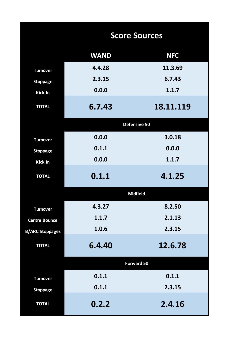|                        |             | <b>Score Sources</b> |
|------------------------|-------------|----------------------|
|                        | <b>WAND</b> | <b>NFC</b>           |
| <b>Turnover</b>        | 4.4.28      | 11.3.69              |
| <b>Stoppage</b>        | 2.3.15      | 6.7.43               |
| <b>Kick In</b>         | 0.0.0       | 1.1.7                |
| <b>TOTAL</b>           | 6.7.43      | 18.11.119            |
|                        |             | Defensive 50         |
| <b>Turnover</b>        | 0.0.0       | 3.0.18               |
| <b>Stoppage</b>        | 0.1.1       | 0.0.0                |
| <b>Kick In</b>         | 0.0.0       | 1.1.7                |
| <b>TOTAL</b>           | 0.1.1       | 4.1.25               |
|                        |             | <b>Midfield</b>      |
| <b>Turnover</b>        | 4.3.27      | 8.2.50               |
| <b>Centre Bounce</b>   | 1.1.7       | 2.1.13               |
| <b>B/ARC Stoppages</b> | 1.0.6       | 2.3.15               |
| <b>TOTAL</b>           | 6.4.40      | 12.6.78              |
|                        |             | <b>Forward 50</b>    |
| <b>Turnover</b>        | 0.1.1       | 0.1.1                |
| <b>Stoppage</b>        | 0.1.1       | 2.3.15               |
| <b>TOTAL</b>           | 0.2.2       | 2.4.16               |